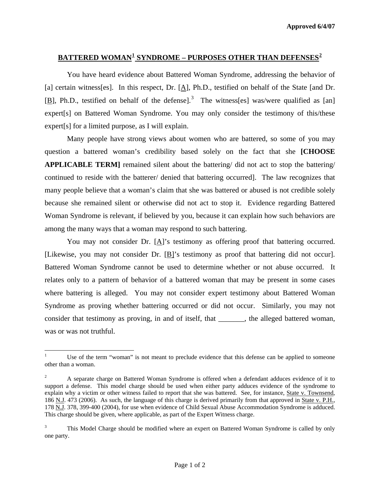## **BATTERED WOMAN[1](#page-0-0) SYNDROME – PURPOSES OTHER THAN DEFENSES[2](#page-0-1)**

 You have heard evidence about Battered Woman Syndrome, addressing the behavior of [a] certain witness[es]. In this respect, Dr.  $[\underline{A}]$ , Ph.D., testified on behalf of the State [and Dr. [B], Ph.D., testified on behalf of the defense].<sup>[3](#page-0-2)</sup> The witness[es] was/were qualified as [an] expert[s] on Battered Woman Syndrome. You may only consider the testimony of this/these expert[s] for a limited purpose, as I will explain.

Many people have strong views about women who are battered, so some of you may question a battered woman's credibility based solely on the fact that she **[CHOOSE APPLICABLE TERM]** remained silent about the battering/ did not act to stop the battering/ continued to reside with the batterer/ denied that battering occurred]. The law recognizes that many people believe that a woman's claim that she was battered or abused is not credible solely because she remained silent or otherwise did not act to stop it. Evidence regarding Battered Woman Syndrome is relevant, if believed by you, because it can explain how such behaviors are among the many ways that a woman may respond to such battering.

You may not consider Dr. [A]'s testimony as offering proof that battering occurred. [Likewise, you may not consider Dr. [B]'s testimony as proof that battering did not occur]. Battered Woman Syndrome cannot be used to determine whether or not abuse occurred. It relates only to a pattern of behavior of a battered woman that may be present in some cases where battering is alleged. You may not consider expert testimony about Battered Woman Syndrome as proving whether battering occurred or did not occur. Similarly, you may not consider that testimony as proving, in and of itself, that \_\_\_\_\_\_\_, the alleged battered woman, was or was not truthful.

<span id="page-0-0"></span><sup>1</sup> 1 Use of the term "woman" is not meant to preclude evidence that this defense can be applied to someone other than a woman.

<span id="page-0-1"></span><sup>2</sup> A separate charge on Battered Woman Syndrome is offered when a defendant adduces evidence of it to support a defense. This model charge should be used when either party adduces evidence of the syndrome to explain why a victim or other witness failed to report that she was battered. See, for instance, State v. Townsend, 186 N.J. 473 (2006). As such, the language of this charge is derived primarily from that approved in State v. P.H., 178 N.J. 378, 399-400 (2004), for use when evidence of Child Sexual Abuse Accommodation Syndrome is adduced. This charge should be given, where applicable, as part of the Expert Witness charge.

<span id="page-0-3"></span><span id="page-0-2"></span><sup>3</sup> This Model Charge should be modified where an expert on Battered Woman Syndrome is called by only one party.